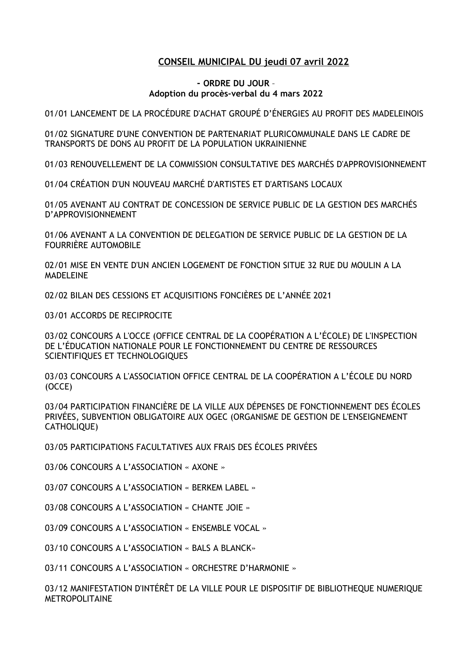## **CONSEIL MUNICIPAL DU jeudi 07 avril 2022**

## **- ORDRE DU JOUR** – **Adoption du procès-verbal du 4 mars 2022**

01/01 LANCEMENT DE LA PROCÉDURE D'ACHAT GROUPÉ D'ÉNERGIES AU PROFIT DES MADELEINOIS

01/02 SIGNATURE D'UNE CONVENTION DE PARTENARIAT PLURICOMMUNALE DANS LE CADRE DE TRANSPORTS DE DONS AU PROFIT DE LA POPULATION UKRAINIENNE

01/03 RENOUVELLEMENT DE LA COMMISSION CONSULTATIVE DES MARCHÉS D'APPROVISIONNEMENT

01/04 CRÉATION D'UN NOUVEAU MARCHÉ D'ARTISTES ET D'ARTISANS LOCAUX

01/05 AVENANT AU CONTRAT DE CONCESSION DE SERVICE PUBLIC DE LA GESTION DES MARCHÉS D'APPROVISIONNEMENT

01/06 AVENANT A LA CONVENTION DE DELEGATION DE SERVICE PUBLIC DE LA GESTION DE LA FOURRIÈRE AUTOMOBILE

02/01 MISE EN VENTE D'UN ANCIEN LOGEMENT DE FONCTION SITUE 32 RUE DU MOULIN A LA MADELEINE

02/02 BILAN DES CESSIONS ET ACQUISITIONS FONCIÈRES DE L'ANNÉE 2021

03/01 ACCORDS DE RECIPROCITE

03/02 CONCOURS A L'OCCE (OFFICE CENTRAL DE LA COOPÉRATION A L'ÉCOLE) DE L'INSPECTION DE L'ÉDUCATION NATIONALE POUR LE FONCTIONNEMENT DU CENTRE DE RESSOURCES SCIENTIFIQUES ET TECHNOLOGIQUES

03/03 CONCOURS A L'ASSOCIATION OFFICE CENTRAL DE LA COOPÉRATION A L'ÉCOLE DU NORD (OCCE)

03/04 PARTICIPATION FINANCIÈRE DE LA VILLE AUX DÉPENSES DE FONCTIONNEMENT DES ÉCOLES PRIVÉES, SUBVENTION OBLIGATOIRE AUX OGEC (ORGANISME DE GESTION DE L'ENSEIGNEMENT CATHOLIQUE)

03/05 PARTICIPATIONS FACULTATIVES AUX FRAIS DES ÉCOLES PRIVÉES

03/06 CONCOURS A L'ASSOCIATION « AXONE »

03/07 CONCOURS A L'ASSOCIATION « BERKEM LABEL »

03/08 CONCOURS A L'ASSOCIATION « CHANTE JOIE »

03/09 CONCOURS A L'ASSOCIATION « ENSEMBLE VOCAL »

03/10 CONCOURS A L'ASSOCIATION « BALS A BLANCK»

03/11 CONCOURS A L'ASSOCIATION « ORCHESTRE D'HARMONIE »

03/12 MANIFESTATION D'INTÉRÊT DE LA VILLE POUR LE DISPOSITIF DE BIBLIOTHEQUE NUMERIQUE METROPOLITAINE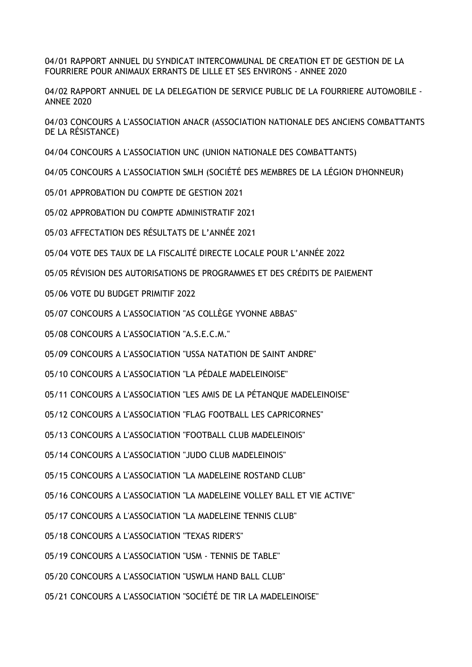04/01 RAPPORT ANNUEL DU SYNDICAT INTERCOMMUNAL DE CREATION ET DE GESTION DE LA FOURRIERE POUR ANIMAUX ERRANTS DE LILLE ET SES ENVIRONS - ANNEE 2020

04/02 RAPPORT ANNUEL DE LA DELEGATION DE SERVICE PUBLIC DE LA FOURRIERE AUTOMOBILE - ANNEE 2020

04/03 CONCOURS A L'ASSOCIATION ANACR (ASSOCIATION NATIONALE DES ANCIENS COMBATTANTS DE LA RÉSISTANCE)

04/04 CONCOURS A L'ASSOCIATION UNC (UNION NATIONALE DES COMBATTANTS)

04/05 CONCOURS A L'ASSOCIATION SMLH (SOCIÉTÉ DES MEMBRES DE LA LÉGION D'HONNEUR)

05/01 APPROBATION DU COMPTE DE GESTION 2021

05/02 APPROBATION DU COMPTE ADMINISTRATIF 2021

05/03 AFFECTATION DES RÉSULTATS DE L'ANNÉE 2021

05/04 VOTE DES TAUX DE LA FISCALITÉ DIRECTE LOCALE POUR L'ANNÉE 2022

05/05 RÉVISION DES AUTORISATIONS DE PROGRAMMES ET DES CRÉDITS DE PAIEMENT

05/06 VOTE DU BUDGET PRIMITIF 2022

05/07 CONCOURS A L'ASSOCIATION "AS COLLÈGE YVONNE ABBAS"

05/08 CONCOURS A L'ASSOCIATION "A.S.E.C.M."

05/09 CONCOURS A L'ASSOCIATION "USSA NATATION DE SAINT ANDRE"

05/10 CONCOURS A L'ASSOCIATION "LA PÉDALE MADELEINOISE"

05/11 CONCOURS A L'ASSOCIATION "LES AMIS DE LA PÉTANQUE MADELEINOISE"

05/12 CONCOURS A L'ASSOCIATION "FLAG FOOTBALL LES CAPRICORNES"

05/13 CONCOURS A L'ASSOCIATION "FOOTBALL CLUB MADELEINOIS"

05/14 CONCOURS A L'ASSOCIATION "JUDO CLUB MADELEINOIS"

05/15 CONCOURS A L'ASSOCIATION "LA MADELEINE ROSTAND CLUB"

05/16 CONCOURS A L'ASSOCIATION "LA MADELEINE VOLLEY BALL ET VIE ACTIVE"

05/17 CONCOURS A L'ASSOCIATION "LA MADELEINE TENNIS CLUB"

05/18 CONCOURS A L'ASSOCIATION "TEXAS RIDER'S"

05/19 CONCOURS A L'ASSOCIATION "USM - TENNIS DE TABLE"

05/20 CONCOURS A L'ASSOCIATION "USWLM HAND BALL CLUB"

05/21 CONCOURS A L'ASSOCIATION "SOCIÉTÉ DE TIR LA MADELEINOISE"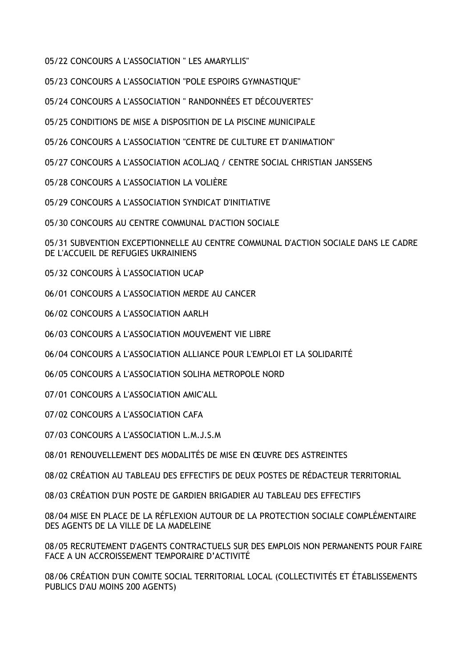05/22 CONCOURS A L'ASSOCIATION " LES AMARYLLIS"

05/23 CONCOURS A L'ASSOCIATION "POLE ESPOIRS GYMNASTIQUE"

05/24 CONCOURS A L'ASSOCIATION " RANDONNÉES ET DÉCOUVERTES"

05/25 CONDITIONS DE MISE A DISPOSITION DE LA PISCINE MUNICIPALE

05/26 CONCOURS A L'ASSOCIATION "CENTRE DE CULTURE ET D'ANIMATION"

05/27 CONCOURS A L'ASSOCIATION ACOLJAQ / CENTRE SOCIAL CHRISTIAN JANSSENS

05/28 CONCOURS A L'ASSOCIATION LA VOLIÈRE

05/29 CONCOURS A L'ASSOCIATION SYNDICAT D'INITIATIVE

05/30 CONCOURS AU CENTRE COMMUNAL D'ACTION SOCIALE

05/31 SUBVENTION EXCEPTIONNELLE AU CENTRE COMMUNAL D'ACTION SOCIALE DANS LE CADRE DE L'ACCUEIL DE REFUGIES UKRAINIENS

05/32 CONCOURS À L'ASSOCIATION UCAP

06/01 CONCOURS A L'ASSOCIATION MERDE AU CANCER

06/02 CONCOURS A L'ASSOCIATION AARLH

06/03 CONCOURS A L'ASSOCIATION MOUVEMENT VIE LIBRE

06/04 CONCOURS A L'ASSOCIATION ALLIANCE POUR L'EMPLOI ET LA SOLIDARITÉ

06/05 CONCOURS A L'ASSOCIATION SOLIHA METROPOLE NORD

07/01 CONCOURS A L'ASSOCIATION AMIC'ALL

07/02 CONCOURS A L'ASSOCIATION CAFA

07/03 CONCOURS A L'ASSOCIATION L.M.J.S.M

08/01 RENOUVELLEMENT DES MODALITÉS DE MISE EN ŒUVRE DES ASTREINTES

08/02 CRÉATION AU TABLEAU DES EFFECTIFS DE DEUX POSTES DE RÉDACTEUR TERRITORIAL

08/03 CRÉATION D'UN POSTE DE GARDIEN BRIGADIER AU TABLEAU DES EFFECTIFS

08/04 MISE EN PLACE DE LA RÉFLEXION AUTOUR DE LA PROTECTION SOCIALE COMPLÉMENTAIRE DES AGENTS DE LA VILLE DE LA MADELEINE

08/05 RECRUTEMENT D'AGENTS CONTRACTUELS SUR DES EMPLOIS NON PERMANENTS POUR FAIRE FACE A UN ACCROISSEMENT TEMPORAIRE D'ACTIVITÉ

08/06 CRÉATION D'UN COMITE SOCIAL TERRITORIAL LOCAL (COLLECTIVITÉS ET ÉTABLISSEMENTS PUBLICS D'AU MOINS 200 AGENTS)